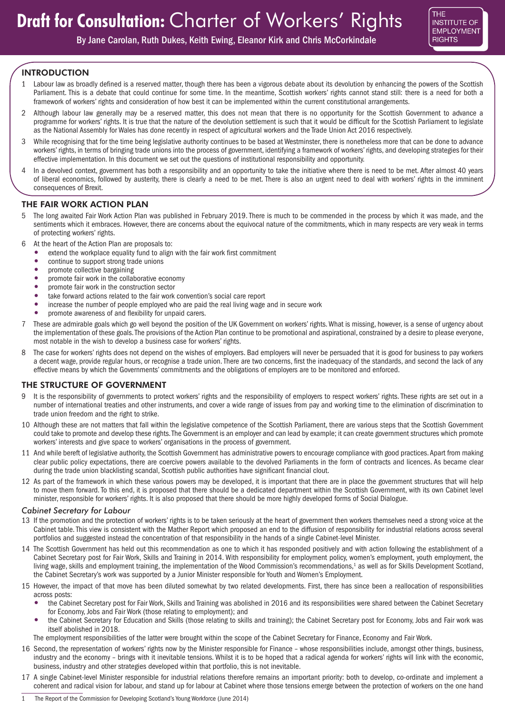

By Jane Carolan, Ruth Dukes, Keith Ewing, Eleanor Kirk and Chris McCorkindale

## INTRODUCTION

- 1 Labour law as broadly defined is a reserved matter, though there has been a vigorous debate about its devolution by enhancing the powers of the Scottish Parliament. This is a debate that could continue for some time. In the meantime, Scottish workers' rights cannot stand still: there is a need for both a framework of workers' rights and consideration of how best it can be implemented within the current constitutional arrangements.
- 2 Although labour law generally may be a reserved matter, this does not mean that there is no opportunity for the Scottish Government to advance a programme for workers' rights. It is true that the nature of the devolution settlement is such that it would be difficult for the Scottish Parliament to legislate as the National Assembly for Wales has done recently in respect of agricultural workers and the Trade Union Act 2016 respectively.
- 3 While recognising that for the time being legislative authority continues to be based at Westminster, there is nonetheless more that can be done to advance workers' rights, in terms of bringing trade unions into the process of government, identifying a framework of workers' rights, and developing strategies for their effective implementation. In this document we set out the questions of institutional responsibility and opportunity.
- 4 In a devolved context, government has both a responsibility and an opportunity to take the initiative where there is need to be met. After almost 40 years of liberal economics, followed by austerity, there is clearly a need to be met. There is also an urgent need to deal with workers' rights in the imminent consequences of Brexit.

## THE FAIR WORK ACTION PLAN

- 5 The long awaited Fair Work Action Plan was published in February 2019. There is much to be commended in the process by which it was made, and the sentiments which it embraces. However, there are concerns about the equivocal nature of the commitments, which in many respects are very weak in terms of protecting workers' rights.
- 6 At the heart of the Action Plan are proposals to:
	- extend the workplace equality fund to align with the fair work first commitment
	- continue to support strong trade unions
	- promote collective bargaining
	- promote fair work in the collaborative economy
	- promote fair work in the construction sector<br>• take forward actions related to the fair work
	- take forward actions related to the fair work convention's social care report
	- increase the number of people employed who are paid the real living wage and in secure work
	- promote awareness of and flexibility for unpaid carers.
- 7 These are admirable goals which go well beyond the position of the UK Government on workers' rights. What is missing, however, is a sense of urgency about the implementation of these goals. The provisions of the Action Plan continue to be promotional and aspirational, constrained by a desire to please everyone, most notable in the wish to develop a business case for workers' rights.
- 8 The case for workers' rights does not depend on the wishes of employers. Bad employers will never be persuaded that it is good for business to pay workers a decent wage, provide regular hours, or recognise a trade union. There are two concerns, first the inadequacy of the standards, and second the lack of any effective means by which the Governments' commitments and the obligations of employers are to be monitored and enforced.

## THE STRUCTURE OF GOVERNMENT

- It is the responsibility of governments to protect workers' rights and the responsibility of employers to respect workers' rights. These rights are set out in a number of international treaties and other instruments, and cover a wide range of issues from pay and working time to the elimination of discrimination to trade union freedom and the right to strike.
- 10 Although these are not matters that fall within the legislative competence of the Scottish Parliament, there are various steps that the Scottish Government could take to promote and develop these rights. The Government is an employer and can lead by example; it can create government structures which promote workers' interests and give space to workers' organisations in the process of government.
- 11 And while bereft of legislative authority, the Scottish Government has administrative powers to encourage compliance with good practices. Apart from making clear public policy expectations, there are coercive powers available to the devolved Parliaments in the form of contracts and licences. As became clear during the trade union blacklisting scandal, Scottish public authorities have significant financial clout.
- 12 As part of the framework in which these various powers may be developed, it is important that there are in place the government structures that will help to move them forward. To this end, it is proposed that there should be a dedicated department within the Scottish Government, with its own Cabinet level minister, responsible for workers' rights. It is also proposed that there should be more highly developed forms of Social Dialogue.

### *Cabinet Secretary for Labour*

- 13 If the promotion and the protection of workers' rights is to be taken seriously at the heart of government then workers themselves need a strong voice at the Cabinet table. This view is consistent with the Mather Report which proposed an end to the diffusion of responsibility for industrial relations across several portfolios and suggested instead the concentration of that responsibility in the hands of a single Cabinet-level Minister.
- 14 The Scottish Government has held out this recommendation as one to which it has responded positively and with action following the establishment of a Cabinet Secretary post for Fair Work, Skills and Training in 2014. With responsibility for employment policy, women's employment, youth employment, the living wage, skills and employment training, the implementation of the Wood Commission's recommendations,<sup>1</sup> as well as for Skills Development Scotland, the Cabinet Secretary's work was supported by a Junior Minister responsible for Youth and Women's Employment.
- 15 However, the impact of that move has been diluted somewhat by two related developments. First, there has since been a reallocation of responsibilities across posts:
	- the Cabinet Secretary post for Fair Work, Skills and Training was abolished in 2016 and its responsibilities were shared between the Cabinet Secretary for Economy, Jobs and Fair Work (those relating to employment); and
	- the Cabinet Secretary for Education and Skills (those relating to skills and training); the Cabinet Secretary post for Economy, Jobs and Fair work was itself abolished in 2018.
	- The employment responsibilities of the latter were brought within the scope of the Cabinet Secretary for Finance, Economy and Fair Work.
- 16 Second, the representation of workers' rights now by the Minister responsible for Finance whose responsibilities include, amongst other things, business, industry and the economy – brings with it inevitable tensions. Whilst it is to be hoped that a radical agenda for workers' rights will link with the economic, business, industry and other strategies developed within that portfolio, this is not inevitable.
- 17 A single Cabinet-level Minister responsible for industrial relations therefore remains an important priority: both to develop, co-ordinate and implement a coherent and radical vision for labour, and stand up for labour at Cabinet where those tensions emerge between the protection of workers on the one hand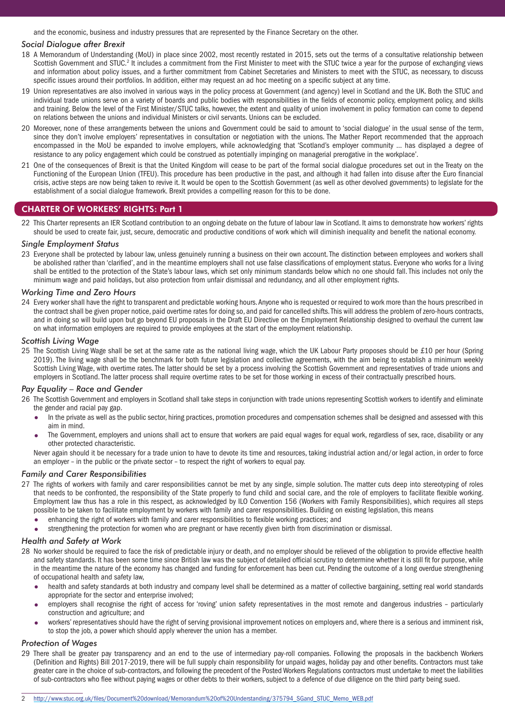and the economic, business and industry pressures that are represented by the Finance Secretary on the other.

### *Social Dialogue after Brexit*

- 18 A Memorandum of Understanding (MoU) in place since 2002, most recently restated in 2015, sets out the terms of a consultative relationship between Scottish Government and STUC.<sup>2</sup> It includes a commitment from the First Minister to meet with the STUC twice a year for the purpose of exchanging views and information about policy issues, and a further commitment from Cabinet Secretaries and Ministers to meet with the STUC, as necessary, to discuss specific issues around their portfolios. In addition, either may request an ad hoc meeting on a specific subject at any time.
- 19 Union representatives are also involved in various ways in the policy process at Government (and agency) level in Scotland and the UK. Both the STUC and individual trade unions serve on a variety of boards and public bodies with responsibilities in the fields of economic policy, employment policy, and skills and training. Below the level of the First Minister/STUC talks, however, the extent and quality of union involvement in policy formation can come to depend on relations between the unions and individual Ministers or civil servants. Unions can be excluded.
- 20 Moreover, none of these arrangements between the unions and Government could be said to amount to 'social dialogue' in the usual sense of the term, since they don't involve employers' representatives in consultation or negotiation with the unions. The Mather Report recommended that the approach encompassed in the MoU be expanded to involve employers, while acknowledging that 'Scotland's employer community … has displayed a degree of resistance to any policy engagement which could be construed as potentially impinging on managerial prerogative in the workplace'.
- 21 One of the consequences of Brexit is that the United Kingdom will cease to be part of the formal social dialogue procedures set out in the Treaty on the Functioning of the European Union (TFEU). This procedure has been productive in the past, and although it had fallen into disuse after the Euro financial crisis, active steps are now being taken to revive it. It would be open to the Scottish Government (as well as other devolved governments) to legislate for the establishment of a social dialogue framework. Brexit provides a compelling reason for this to be done.

# CHARTER OF WORKERS' RIGHTS: Part 1

22 This Charter represents an IER Scotland contribution to an ongoing debate on the future of labour law in Scotland. It aims to demonstrate how workers' rights should be used to create fair, just, secure, democratic and productive conditions of work which will diminish inequality and benefit the national economy.

### *Single Employment Status*

23 Everyone shall be protected by labour law, unless genuinely running a business on their own account. The distinction between employees and workers shall be abolished rather than 'clarified', and in the meantime employers shall not use false classifications of employment status. Everyone who works for a living shall be entitled to the protection of the State's labour laws, which set only minimum standards below which no one should fall. This includes not only the minimum wage and paid holidays, but also protection from unfair dismissal and redundancy, and all other employment rights.

### *Working Time and Zero Hours*

24 Every worker shall have the right to transparent and predictable working hours. Anyone who is requested or required to work more than the hours prescribed in the contract shall be given proper notice, paid overtime rates for doing so, and paid for cancelled shifts. This will address the problem of zero-hours contracts, and in doing so will build upon but go beyond EU proposals in the Draft EU Directive on the Employment Relationship designed to overhaul the current law on what information employers are required to provide employees at the start of the employment relationship.

### *Scottish Living Wage*

25 The Scottish Living Wage shall be set at the same rate as the national living wage, which the UK Labour Party proposes should be £10 per hour (Spring 2019). The living wage shall be the benchmark for both future legislation and collective agreements, with the aim being to establish a minimum weekly Scottish Living Wage, with overtime rates. The latter should be set by a process involving the Scottish Government and representatives of trade unions and employers in Scotland. The latter process shall require overtime rates to be set for those working in excess of their contractually prescribed hours.

### *Pay Equality – Race and Gender*

26 The Scottish Government and employers in Scotland shall take steps in conjunction with trade unions representing Scottish workers to identify and eliminate the gender and racial pay gap.

- In the private as well as the public sector, hiring practices, promotion procedures and compensation schemes shall be designed and assessed with this aim in mind.
- The Government, employers and unions shall act to ensure that workers are paid equal wages for equal work, regardless of sex, race, disability or any other protected characteristic.

Never again should it be necessary for a trade union to have to devote its time and resources, taking industrial action and/or legal action, in order to force an employer – in the public or the private sector – to respect the right of workers to equal pay.

### *Family and Carer Responsibilities*

- 27 The rights of workers with family and carer responsibilities cannot be met by any single, simple solution. The matter cuts deep into stereotyping of roles that needs to be confronted, the responsibility of the State properly to fund child and social care, and the role of employers to facilitate flexible working. Employment law thus has a role in this respect, as acknowledged by ILO Convention 156 (Workers with Family Responsibilities), which requires all steps possible to be taken to facilitate employment by workers with family and carer responsibilities. Building on existing legislation, this means
	- enhancing the right of workers with family and carer responsibilities to flexible working practices; and
	- strengthening the protection for women who are pregnant or have recently given birth from discrimination or dismissal.

### *Health and Safety at Work*

- 28 No worker should be required to face the risk of predictable injury or death, and no employer should be relieved of the obligation to provide effective health and safety standards. It has been some time since British law was the subject of detailed official scrutiny to determine whether it is still fit for purpose, while in the meantime the nature of the economy has changed and funding for enforcement has been cut. Pending the outcome of a long overdue strengthening of occupational health and safety law,
	- health and safety standards at both industry and company level shall be determined as a matter of collective bargaining, setting real world standards appropriate for the sector and enterprise involved;
	- employers shall recognise the right of access for 'roving' union safety representatives in the most remote and dangerous industries particularly construction and agriculture; and
	- workers' representatives should have the right of serving provisional improvement notices on employers and, where there is a serious and imminent risk, to stop the job, a power which should apply wherever the union has a member.

## *Protection of Wages*

29 There shall be greater pay transparency and an end to the use of intermediary pay-roll companies. Following the proposals in the backbench Workers (Definition and Rights) Bill 2017-2019, there will be full supply chain responsibility for unpaid wages, holiday pay and other benefits. Contractors must take greater care in the choice of sub-contractors, and following the precedent of the Posted Workers Regulations contractors must undertake to meet the liabilities of sub-contractors who flee without paying wages or other debts to their workers, subject to a defence of due diligence on the third party being sued.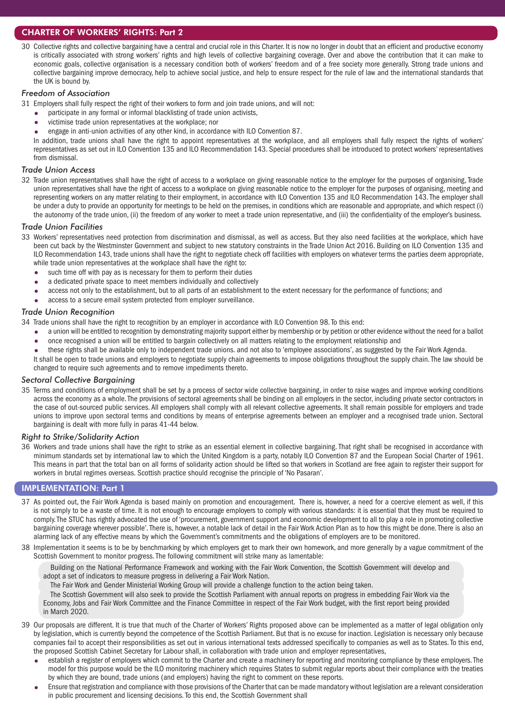## CHARTER OF WORKERS' RIGHTS: Part 2

30 Collective rights and collective bargaining have a central and crucial role in this Charter. It is now no longer in doubt that an efficient and productive economy is critically associated with strong workers' rights and high levels of collective bargaining coverage. Over and above the contribution that it can make to economic goals, collective organisation is a necessary condition both of workers' freedom and of a free society more generally. Strong trade unions and collective bargaining improve democracy, help to achieve social justice, and help to ensure respect for the rule of law and the international standards that the UK is bound by.

### *Freedom of Association*

31 Employers shall fully respect the right of their workers to form and join trade unions, and will not:

- participate in any formal or informal blacklisting of trade union activists,
- victimise trade union representatives at the workplace; nor
- engage in anti-union activities of any other kind, in accordance with ILO Convention 87.

In addition, trade unions shall have the right to appoint representatives at the workplace, and all employers shall fully respect the rights of workers' representatives as set out in ILO Convention 135 and ILO Recommendation 143. Special procedures shall be introduced to protect workers' representatives from dismissal.

### *Trade Union Access*

32 Trade union representatives shall have the right of access to a workplace on giving reasonable notice to the employer for the purposes of organising, Trade union representatives shall have the right of access to a workplace on giving reasonable notice to the employer for the purposes of organising, meeting and representing workers on any matter relating to their employment, in accordance with ILO Convention 135 and ILO Recommendation 143. The employer shall be under a duty to provide an opportunity for meetings to be held on the premises, in conditions which are reasonable and appropriate, and which respect (i) the autonomy of the trade union, (ii) the freedom of any worker to meet a trade union representative, and (iii) the confidentiality of the employer's business.

## *Trade Union Facilities*

- 33 Workers' representatives need protection from discrimination and dismissal, as well as access. But they also need facilities at the workplace, which have been cut back by the Westminster Government and subject to new statutory constraints in the Trade Union Act 2016. Building on ILO Convention 135 and ILO Recommendation 143, trade unions shall have the right to negotiate check off facilities with employers on whatever terms the parties deem appropriate, while trade union representatives at the workplace shall have the right to:
	- such time off with pay as is necessary for them to perform their duties
	- a dedicated private space to meet members individually and collectively
	- access not only to the establishment, but to all parts of an establishment to the extent necessary for the performance of functions; and
	- access to a secure email system protected from employer surveillance.

### *Trade Union Recognition*

34 Trade unions shall have the right to recognition by an employer in accordance with ILO Convention 98. To this end:

- a union will be entitled to recognition by demonstrating majority support either by membership or by petition or other evidence without the need for a ballot once recognised a union will be entitled to bargain collectively on all matters relating to the employment relationship and
- these rights shall be available only to independent trade unions. and not also to 'employee associations', as suggested by the Fair Work Agenda.
- It shall be open to trade unions and employers to negotiate supply chain agreements to impose obligations throughout the supply chain. The law should be changed to require such agreements and to remove impediments thereto.

## *Sectoral Collective Bargaining*

35 Terms and conditions of employment shall be set by a process of sector wide collective bargaining, in order to raise wages and improve working conditions across the economy as a whole. The provisions of sectoral agreements shall be binding on all employers in the sector, including private sector contractors in the case of out-sourced public services. All employers shall comply with all relevant collective agreements. It shall remain possible for employers and trade unions to improve upon sectoral terms and conditions by means of enterprise agreements between an employer and a recognised trade union. Sectoral bargaining is dealt with more fully in paras 41-44 below.

### *Right to Strike/Solidarity Action*

36 Workers and trade unions shall have the right to strike as an essential element in collective bargaining. That right shall be recognised in accordance with minimum standards set by international law to which the United Kingdom is a party, notably ILO Convention 87 and the European Social Charter of 1961. This means in part that the total ban on all forms of solidarity action should be lifted so that workers in Scotland are free again to register their support for workers in brutal regimes overseas. Scottish practice should recognise the principle of 'No Pasaran'.

## IMPLEMENTATION: Part 1

- 37 As pointed out, the Fair Work Agenda is based mainly on promotion and encouragement. There is, however, a need for a coercive element as well, if this is not simply to be a waste of time. It is not enough to encourage employers to comply with various standards: it is essential that they must be required to comply. The STUC has rightly advocated the use of 'procurement, government support and economic development to all to play a role in promoting collective bargaining coverage wherever possible'. There is, however, a notable lack of detail in the Fair Work Action Plan as to how this might be done. There is also an alarming lack of any effective means by which the Government's commitments and the obligations of employers are to be monitored.
- 38 Implementation it seems is to be by benchmarking by which employers get to mark their own homework, and more generally by a vague commitment of the Scottish Government to monitor progress. The following commitment will strike many as lamentable:

Building on the National Performance Framework and working with the Fair Work Convention, the Scottish Government will develop and adopt a set of indicators to measure progress in delivering a Fair Work Nation.

The Fair Work and Gender Ministerial Working Group will provide a challenge function to the action being taken.

The Scottish Government will also seek to provide the Scottish Parliament with annual reports on progress in embedding Fair Work via the Economy, Jobs and Fair Work Committee and the Finance Committee in respect of the Fair Work budget, with the first report being provided in March 2020.

- 39 Our proposals are different. It is true that much of the Charter of Workers' Rights proposed above can be implemented as a matter of legal obligation only by legislation, which is currently beyond the competence of the Scottish Parliament. But that is no excuse for inaction. Legislation is necessary only because companies fail to accept their responsibilities as set out in various international texts addressed specifically to companies as well as to States. To this end, the proposed Scottish Cabinet Secretary for Labour shall, in collaboration with trade union and employer representatives,
	- establish a register of employers which commit to the Charter and create a machinery for reporting and monitoring compliance by these employers. The model for this purpose would be the ILO monitoring machinery which requires States to submit regular reports about their compliance with the treaties by which they are bound, trade unions (and employers) having the right to comment on these reports.
	- Ensure that registration and compliance with those provisions of the Charter that can be made mandatory without legislation are a relevant consideration in public procurement and licensing decisions. To this end, the Scottish Government shall